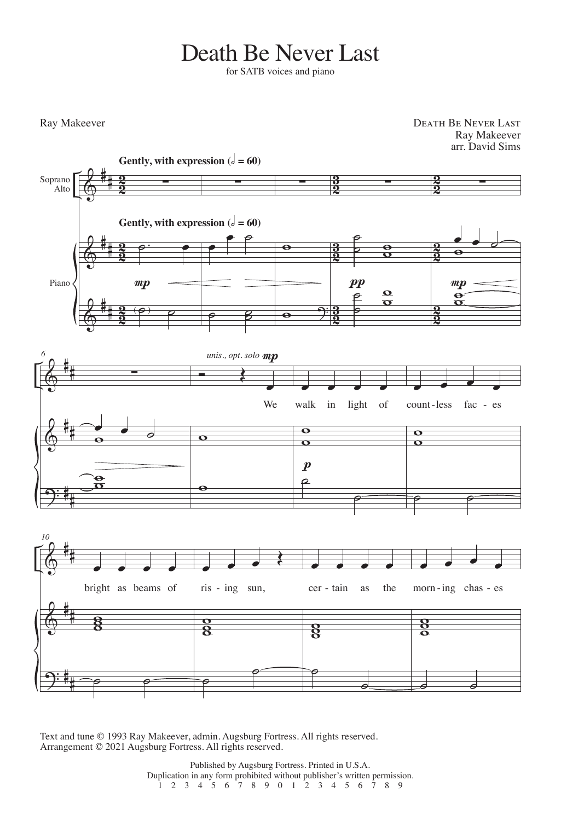## Death Be Never Last

for SATB voices and piano

Ray Makeever

Death Be Never Last Ray Makeever arr. David Sims



Text and tune © 1993 Ray Makeever, admin. Augsburg Fortress. All rights reserved. Arrangement © 2021 Augsburg Fortress. All rights reserved.

> Published by Augsburg Fortress. Printed in U.S.A. Duplication in any form prohibited without publisher's written permission. 1 2 3 4 5 6 7 8 9 0 1 2 3 4 5 6 7 8 9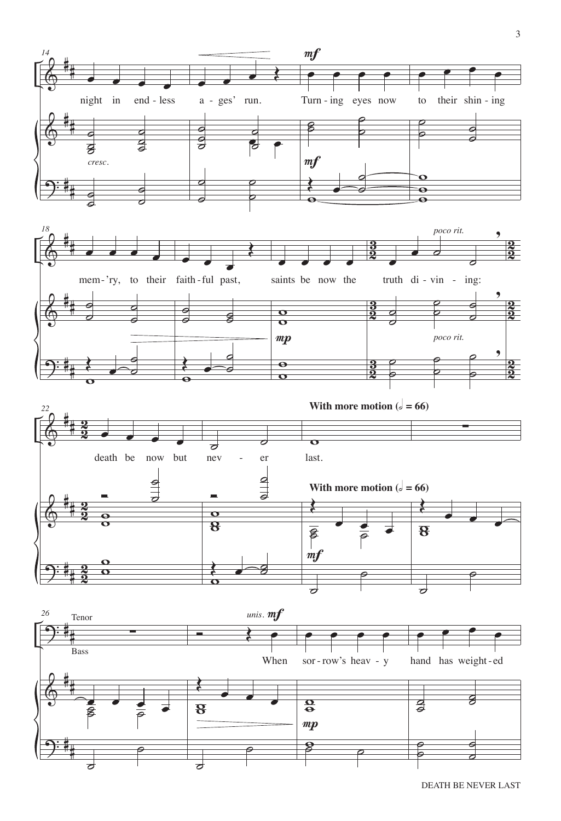

DEATH BE NEVER LAST